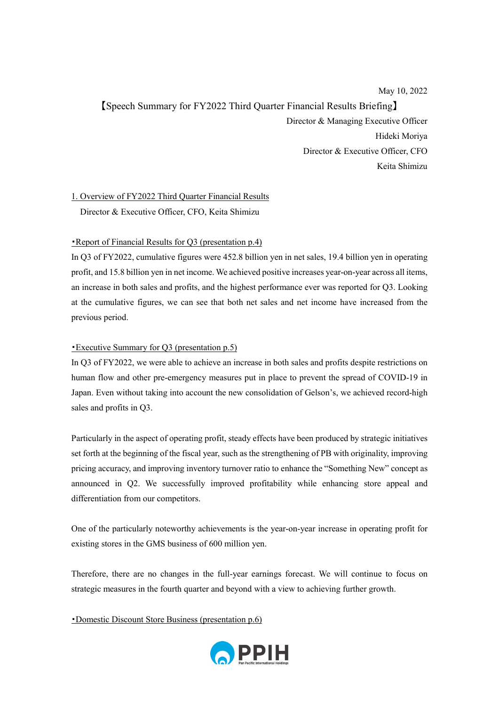May 10, 2022

【Speech Summary for FY2022 Third Quarter Financial Results Briefing】 Director & Managing Executive Officer Hideki Moriya Director & Executive Officer, CFO Keita Shimizu

1. Overview of FY2022 Third Quarter Financial Results

Director & Executive Officer, CFO, Keita Shimizu

## ・Report of Financial Results for Q3 (presentation p.4)

In Q3 of FY2022, cumulative figures were 452.8 billion yen in net sales, 19.4 billion yen in operating profit, and 15.8 billion yen in net income. We achieved positive increases year-on-year across all items, an increase in both sales and profits, and the highest performance ever was reported for Q3. Looking at the cumulative figures, we can see that both net sales and net income have increased from the previous period.

# ・Executive Summary for Q3 (presentation p.5)

In Q3 of FY2022, we were able to achieve an increase in both sales and profits despite restrictions on human flow and other pre-emergency measures put in place to prevent the spread of COVID-19 in Japan. Even without taking into account the new consolidation of Gelson's, we achieved record-high sales and profits in Q3.

Particularly in the aspect of operating profit, steady effects have been produced by strategic initiatives set forth at the beginning of the fiscal year, such as the strengthening of PB with originality, improving pricing accuracy, and improving inventory turnover ratio to enhance the "Something New" concept as announced in Q2. We successfully improved profitability while enhancing store appeal and differentiation from our competitors.

One of the particularly noteworthy achievements is the year-on-year increase in operating profit for existing stores in the GMS business of 600 million yen.

Therefore, there are no changes in the full-year earnings forecast. We will continue to focus on strategic measures in the fourth quarter and beyond with a view to achieving further growth.

・Domestic Discount Store Business (presentation p.6)

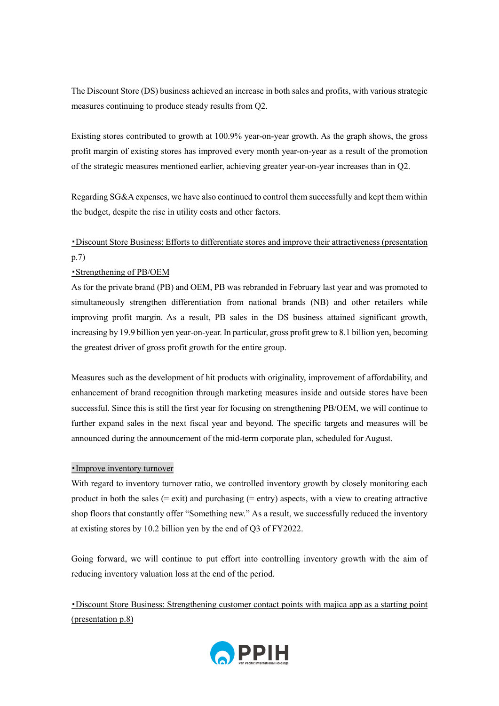The Discount Store (DS) business achieved an increase in both sales and profits, with various strategic measures continuing to produce steady results from Q2.

Existing stores contributed to growth at 100.9% year-on-year growth. As the graph shows, the gross profit margin of existing stores has improved every month year-on-year as a result of the promotion of the strategic measures mentioned earlier, achieving greater year-on-year increases than in Q2.

Regarding SG&A expenses, we have also continued to control them successfully and kept them within the budget, despite the rise in utility costs and other factors.

# ・Discount Store Business: Efforts to differentiate stores and improve their attractiveness (presentation p.7)

## ・Strengthening of PB/OEM

As for the private brand (PB) and OEM, PB was rebranded in February last year and was promoted to simultaneously strengthen differentiation from national brands (NB) and other retailers while improving profit margin. As a result, PB sales in the DS business attained significant growth, increasing by 19.9 billion yen year-on-year. In particular, gross profit grew to 8.1 billion yen, becoming the greatest driver of gross profit growth for the entire group.

Measures such as the development of hit products with originality, improvement of affordability, and enhancement of brand recognition through marketing measures inside and outside stores have been successful. Since this is still the first year for focusing on strengthening PB/OEM, we will continue to further expand sales in the next fiscal year and beyond. The specific targets and measures will be announced during the announcement of the mid-term corporate plan, scheduled for August.

## ・Improve inventory turnover

With regard to inventory turnover ratio, we controlled inventory growth by closely monitoring each product in both the sales (= exit) and purchasing (= entry) aspects, with a view to creating attractive shop floors that constantly offer "Something new." As a result, we successfully reduced the inventory at existing stores by 10.2 billion yen by the end of Q3 of FY2022.

Going forward, we will continue to put effort into controlling inventory growth with the aim of reducing inventory valuation loss at the end of the period.

・Discount Store Business: Strengthening customer contact points with majica app as a starting point (presentation p.8)

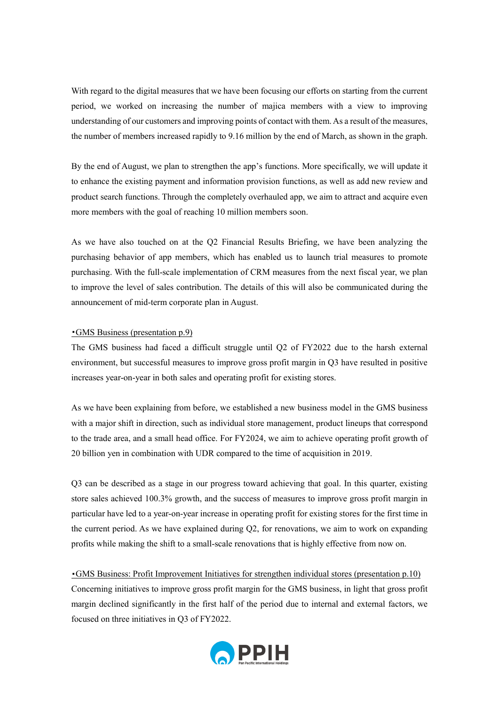With regard to the digital measures that we have been focusing our efforts on starting from the current period, we worked on increasing the number of majica members with a view to improving understanding of our customers and improving points of contact with them. As a result of the measures, the number of members increased rapidly to 9.16 million by the end of March, as shown in the graph.

By the end of August, we plan to strengthen the app's functions. More specifically, we will update it to enhance the existing payment and information provision functions, as well as add new review and product search functions. Through the completely overhauled app, we aim to attract and acquire even more members with the goal of reaching 10 million members soon.

As we have also touched on at the Q2 Financial Results Briefing, we have been analyzing the purchasing behavior of app members, which has enabled us to launch trial measures to promote purchasing. With the full-scale implementation of CRM measures from the next fiscal year, we plan to improve the level of sales contribution. The details of this will also be communicated during the announcement of mid-term corporate plan in August.

### ・GMS Business (presentation p.9)

The GMS business had faced a difficult struggle until Q2 of FY2022 due to the harsh external environment, but successful measures to improve gross profit margin in Q3 have resulted in positive increases year-on-year in both sales and operating profit for existing stores.

As we have been explaining from before, we established a new business model in the GMS business with a major shift in direction, such as individual store management, product lineups that correspond to the trade area, and a small head office. For FY2024, we aim to achieve operating profit growth of 20 billion yen in combination with UDR compared to the time of acquisition in 2019.

Q3 can be described as a stage in our progress toward achieving that goal. In this quarter, existing store sales achieved 100.3% growth, and the success of measures to improve gross profit margin in particular have led to a year-on-year increase in operating profit for existing stores for the first time in the current period. As we have explained during Q2, for renovations, we aim to work on expanding profits while making the shift to a small-scale renovations that is highly effective from now on.

### ・GMS Business: Profit Improvement Initiatives for strengthen individual stores (presentation p.10)

Concerning initiatives to improve gross profit margin for the GMS business, in light that gross profit margin declined significantly in the first half of the period due to internal and external factors, we focused on three initiatives in Q3 of FY2022.

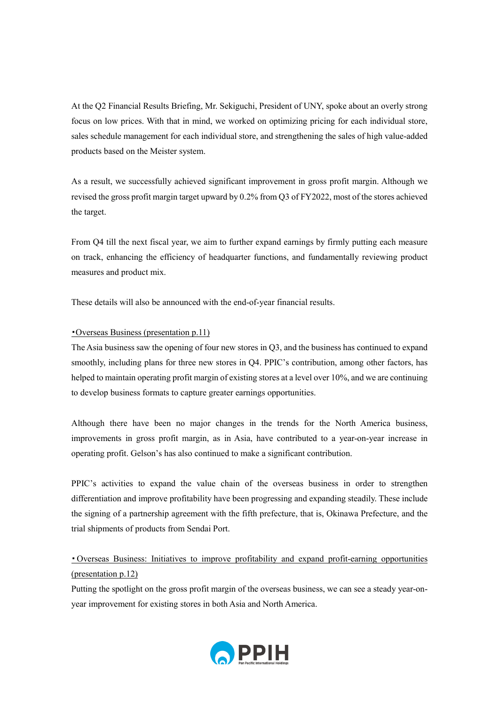At the Q2 Financial Results Briefing, Mr. Sekiguchi, President of UNY, spoke about an overly strong focus on low prices. With that in mind, we worked on optimizing pricing for each individual store, sales schedule management for each individual store, and strengthening the sales of high value-added products based on the Meister system.

As a result, we successfully achieved significant improvement in gross profit margin. Although we revised the gross profit margin target upward by 0.2% from Q3 of FY2022, most of the stores achieved the target.

From Q4 till the next fiscal year, we aim to further expand earnings by firmly putting each measure on track, enhancing the efficiency of headquarter functions, and fundamentally reviewing product measures and product mix.

These details will also be announced with the end-of-year financial results.

## ・Overseas Business (presentation p.11)

The Asia business saw the opening of four new stores in Q3, and the business has continued to expand smoothly, including plans for three new stores in Q4. PPIC's contribution, among other factors, has helped to maintain operating profit margin of existing stores at a level over 10%, and we are continuing to develop business formats to capture greater earnings opportunities.

Although there have been no major changes in the trends for the North America business, improvements in gross profit margin, as in Asia, have contributed to a year-on-year increase in operating profit. Gelson's has also continued to make a significant contribution.

PPIC's activities to expand the value chain of the overseas business in order to strengthen differentiation and improve profitability have been progressing and expanding steadily. These include the signing of a partnership agreement with the fifth prefecture, that is, Okinawa Prefecture, and the trial shipments of products from Sendai Port.

# ・Overseas Business: Initiatives to improve profitability and expand profit-earning opportunities (presentation p.12)

Putting the spotlight on the gross profit margin of the overseas business, we can see a steady year-onyear improvement for existing stores in both Asia and North America.

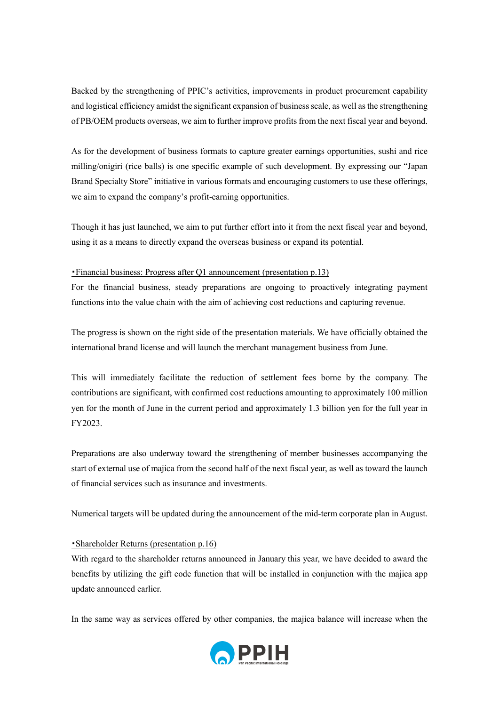Backed by the strengthening of PPIC's activities, improvements in product procurement capability and logistical efficiency amidst the significant expansion of business scale, as well as the strengthening of PB/OEM products overseas, we aim to further improve profits from the next fiscal year and beyond.

As for the development of business formats to capture greater earnings opportunities, sushi and rice milling/onigiri (rice balls) is one specific example of such development. By expressing our "Japan Brand Specialty Store" initiative in various formats and encouraging customers to use these offerings, we aim to expand the company's profit-earning opportunities.

Though it has just launched, we aim to put further effort into it from the next fiscal year and beyond, using it as a means to directly expand the overseas business or expand its potential.

## ・Financial business: Progress after Q1 announcement (presentation p.13)

For the financial business, steady preparations are ongoing to proactively integrating payment functions into the value chain with the aim of achieving cost reductions and capturing revenue.

The progress is shown on the right side of the presentation materials. We have officially obtained the international brand license and will launch the merchant management business from June.

This will immediately facilitate the reduction of settlement fees borne by the company. The contributions are significant, with confirmed cost reductions amounting to approximately 100 million yen for the month of June in the current period and approximately 1.3 billion yen for the full year in FY2023.

Preparations are also underway toward the strengthening of member businesses accompanying the start of external use of majica from the second half of the next fiscal year, as well as toward the launch of financial services such as insurance and investments.

Numerical targets will be updated during the announcement of the mid-term corporate plan in August.

## ・Shareholder Returns (presentation p.16)

With regard to the shareholder returns announced in January this year, we have decided to award the benefits by utilizing the gift code function that will be installed in conjunction with the majica app update announced earlier.

In the same way as services offered by other companies, the majica balance will increase when the

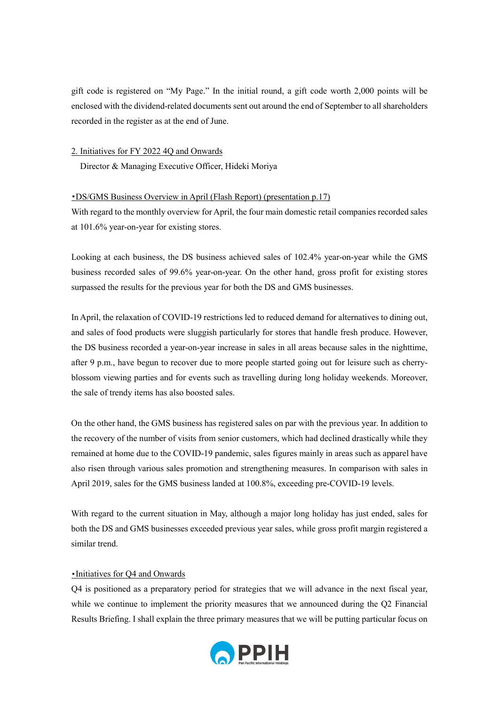gift code is registered on "My Page." In the initial round, a gift code worth 2,000 points will be enclosed with the dividend-related documents sent out around the end of September to all shareholders recorded in the register as at the end of June.

### 2. Initiatives for FY 2022 4Q and Onwards

Director & Managing Executive Officer, Hideki Moriya

### ・DS/GMS Business Overview in April (Flash Report) (presentation p.17)

With regard to the monthly overview for April, the four main domestic retail companies recorded sales at 101.6% year-on-year for existing stores.

Looking at each business, the DS business achieved sales of 102.4% year-on-year while the GMS business recorded sales of 99.6% year-on-year. On the other hand, gross profit for existing stores surpassed the results for the previous year for both the DS and GMS businesses.

In April, the relaxation of COVID-19 restrictions led to reduced demand for alternatives to dining out, and sales of food products were sluggish particularly for stores that handle fresh produce. However, the DS business recorded a year-on-year increase in sales in all areas because sales in the nighttime, after 9 p.m., have begun to recover due to more people started going out for leisure such as cherryblossom viewing parties and for events such as travelling during long holiday weekends. Moreover, the sale of trendy items has also boosted sales.

On the other hand, the GMS business has registered sales on par with the previous year. In addition to the recovery of the number of visits from senior customers, which had declined drastically while they remained at home due to the COVID-19 pandemic, sales figures mainly in areas such as apparel have also risen through various sales promotion and strengthening measures. In comparison with sales in April 2019, sales for the GMS business landed at 100.8%, exceeding pre-COVID-19 levels.

With regard to the current situation in May, although a major long holiday has just ended, sales for both the DS and GMS businesses exceeded previous year sales, while gross profit margin registered a similar trend.

### ・Initiatives for Q4 and Onwards

Q4 is positioned as a preparatory period for strategies that we will advance in the next fiscal year, while we continue to implement the priority measures that we announced during the Q2 Financial Results Briefing. I shall explain the three primary measures that we will be putting particular focus on

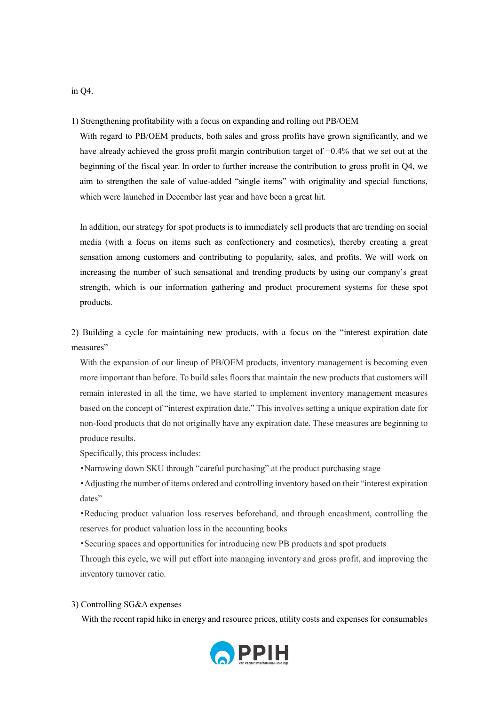1) Strengthening profitability with a focus on expanding and rolling out PB/OEM

With regard to PB/OEM products, both sales and gross profits have grown significantly, and we have already achieved the gross profit margin contribution target of  $+0.4\%$  that we set out at the beginning of the fiscal year. In order to further increase the contribution to gross profit in Q4, we aim to strengthen the sale of value-added "single items" with originality and special functions, which were launched in December last year and have been a great hit.

In addition, our strategy for spot products is to immediately sell products that are trending on social media (with a focus on items such as confectionery and cosmetics), thereby creating a great sensation among customers and contributing to popularity, sales, and profits. We will work on increasing the number of such sensational and trending products by using our company's great strength, which is our information gathering and product procurement systems for these spot products.

2) Building a cycle for maintaining new products, with a focus on the "interest expiration date measures"

With the expansion of our lineup of PB/OEM products, inventory management is becoming even more important than before. To build sales floors that maintain the new products that customers will remain interested in all the time, we have started to implement inventory management measures based on the concept of "interest expiration date." This involves setting a unique expiration date for non-food products that do not originally have any expiration date. These measures are beginning to produce results.

Specifically, this process includes:

・Narrowing down SKU through "careful purchasing" at the product purchasing stage

・Adjusting the number of items ordered and controlling inventory based on their "interest expiration dates"

・Reducing product valuation loss reserves beforehand, and through encashment, controlling the reserves for product valuation loss in the accounting books

・Securing spaces and opportunities for introducing new PB products and spot products

Through this cycle, we will put effort into managing inventory and gross profit, and improving the inventory turnover ratio.

## 3) Controlling SG&A expenses

With the recent rapid hike in energy and resource prices, utility costs and expenses for consumables



in Q4.